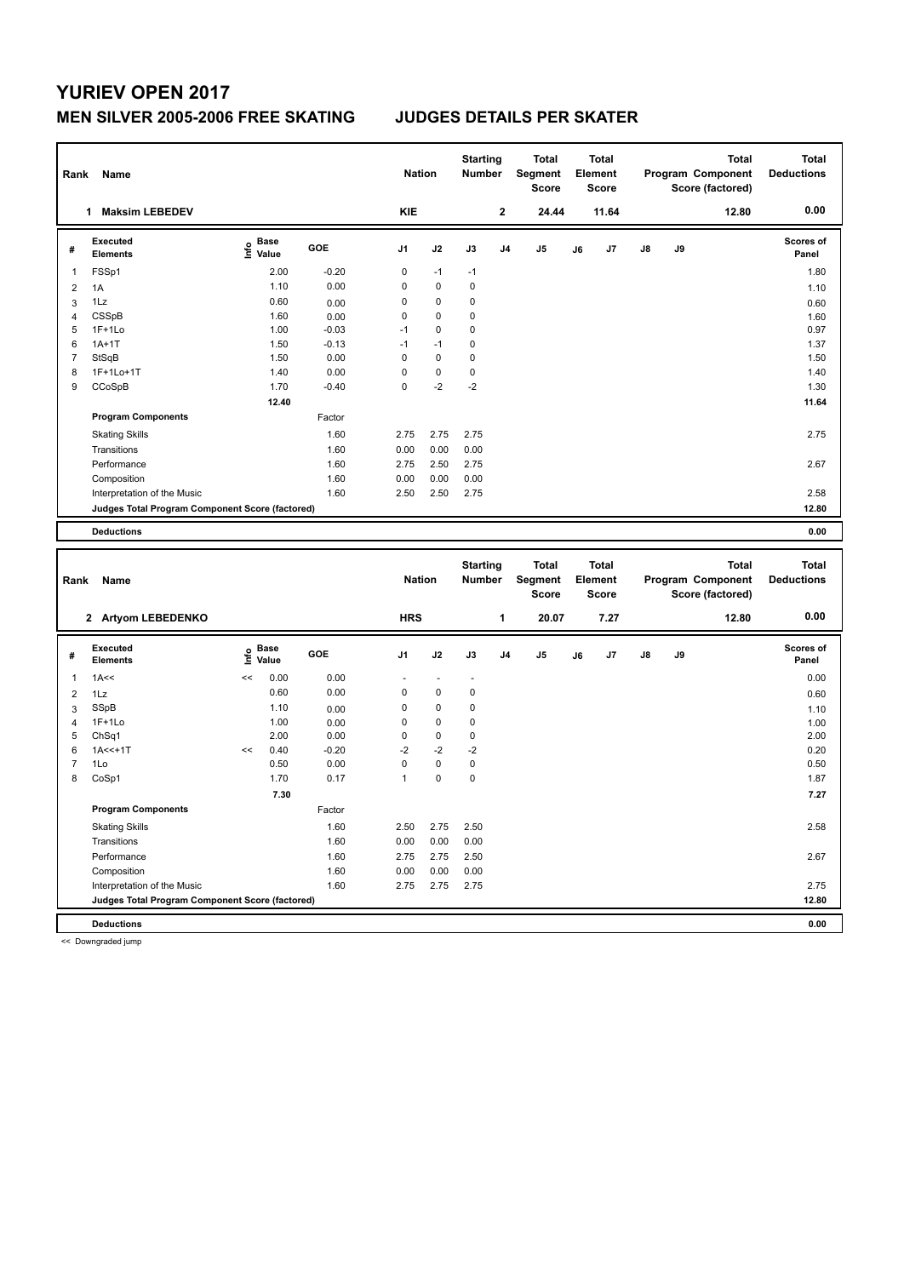# **YURIEV OPEN 2017**

### **MEN SILVER 2005-2006 FREE SKATING JUDGES DETAILS PER SKATER**

| Rank | Name                                            |                                                   |         | <b>Nation</b>  |             | <b>Starting</b><br><b>Number</b> |                | <b>Total</b><br>Segment<br>Score               |    | <b>Total</b><br>Element<br><b>Score</b> |               |    | <b>Total</b><br>Program Component<br>Score (factored) | <b>Total</b><br><b>Deductions</b> |
|------|-------------------------------------------------|---------------------------------------------------|---------|----------------|-------------|----------------------------------|----------------|------------------------------------------------|----|-----------------------------------------|---------------|----|-------------------------------------------------------|-----------------------------------|
|      | <b>Maksim LEBEDEV</b><br>1                      |                                                   |         | <b>KIE</b>     |             |                                  | $\mathbf{2}$   | 24.44                                          |    | 11.64                                   |               |    | 12.80                                                 | 0.00                              |
| #    | <b>Executed</b><br><b>Elements</b>              | e Base<br>E Value<br>Value                        | GOE     | J <sub>1</sub> | J2          | J3                               | J <sub>4</sub> | J <sub>5</sub>                                 | J6 | J7                                      | $\mathsf{J}8$ | J9 |                                                       | Scores of<br>Panel                |
| 1    | FSSp1                                           | 2.00                                              | $-0.20$ | 0              | $-1$        | $-1$                             |                |                                                |    |                                         |               |    |                                                       | 1.80                              |
| 2    | 1A                                              | 1.10                                              | 0.00    | $\mathbf 0$    | $\mathbf 0$ | 0                                |                |                                                |    |                                         |               |    |                                                       | 1.10                              |
| 3    | 1Lz                                             | 0.60                                              | 0.00    | 0              | 0           | 0                                |                |                                                |    |                                         |               |    |                                                       | 0.60                              |
| 4    | CSSpB                                           | 1.60                                              | 0.00    | $\mathbf 0$    | $\mathbf 0$ | 0                                |                |                                                |    |                                         |               |    |                                                       | 1.60                              |
| 5    | $1F+1Lo$                                        | 1.00                                              | $-0.03$ | $-1$           | $\mathbf 0$ | $\mathbf 0$                      |                |                                                |    |                                         |               |    |                                                       | 0.97                              |
| 6    | $1A+1T$                                         | 1.50                                              | $-0.13$ | $-1$           | $-1$        | $\mathbf 0$                      |                |                                                |    |                                         |               |    |                                                       | 1.37                              |
| 7    | StSqB                                           | 1.50                                              | 0.00    | $\mathbf 0$    | $\pmb{0}$   | $\mathbf 0$                      |                |                                                |    |                                         |               |    |                                                       | 1.50                              |
| 8    | 1F+1Lo+1T                                       | 1.40                                              | 0.00    | $\mathbf 0$    | $\pmb{0}$   | $\mathbf 0$                      |                |                                                |    |                                         |               |    |                                                       | 1.40                              |
| 9    | CCoSpB                                          | 1.70                                              | $-0.40$ | $\mathbf 0$    | $-2$        | $-2$                             |                |                                                |    |                                         |               |    |                                                       | 1.30                              |
|      |                                                 | 12.40                                             |         |                |             |                                  |                |                                                |    |                                         |               |    |                                                       | 11.64                             |
|      | <b>Program Components</b>                       |                                                   | Factor  |                |             |                                  |                |                                                |    |                                         |               |    |                                                       |                                   |
|      | <b>Skating Skills</b>                           |                                                   | 1.60    | 2.75           | 2.75        | 2.75                             |                |                                                |    |                                         |               |    |                                                       | 2.75                              |
|      | Transitions                                     |                                                   | 1.60    | 0.00           | 0.00        | 0.00                             |                |                                                |    |                                         |               |    |                                                       |                                   |
|      | Performance                                     |                                                   | 1.60    | 2.75           | 2.50        | 2.75                             |                |                                                |    |                                         |               |    |                                                       | 2.67                              |
|      | Composition                                     |                                                   | 1.60    | 0.00           | 0.00        | 0.00                             |                |                                                |    |                                         |               |    |                                                       |                                   |
|      | Interpretation of the Music                     |                                                   | 1.60    | 2.50           | 2.50        | 2.75                             |                |                                                |    |                                         |               |    |                                                       | 2.58                              |
|      | Judges Total Program Component Score (factored) |                                                   |         |                |             |                                  |                |                                                |    |                                         |               |    |                                                       | 12.80                             |
|      |                                                 |                                                   |         |                |             |                                  |                |                                                |    |                                         |               |    |                                                       |                                   |
|      | <b>Deductions</b>                               |                                                   |         |                |             |                                  |                |                                                |    |                                         |               |    |                                                       | 0.00                              |
|      |                                                 |                                                   |         |                |             |                                  |                |                                                |    |                                         |               |    |                                                       |                                   |
| Rank | Name                                            |                                                   |         | <b>Nation</b>  |             | <b>Starting</b><br><b>Number</b> |                | <b>Total</b><br><b>Segment</b><br><b>Score</b> |    | <b>Total</b><br>Element<br><b>Score</b> |               |    | <b>Total</b><br>Program Component<br>Score (factored) | <b>Total</b><br><b>Deductions</b> |
|      | 2 Artyom LEBEDENKO                              |                                                   |         | <b>HRS</b>     |             |                                  | 1              | 20.07                                          |    | 7.27                                    |               |    | 12.80                                                 | 0.00                              |
| #    | <b>Executed</b><br><b>Elements</b>              | <b>Base</b><br>$\mathsf{Int} \mathsf{o}$<br>Value | GOE     | J1             | J2          | J3                               | J4             | J5                                             | J6 | J7                                      | J8            | J9 |                                                       | Scores of<br>Panel                |
| 1    | 1A<<                                            | 0.00<br><<                                        | 0.00    |                |             |                                  |                |                                                |    |                                         |               |    |                                                       | 0.00                              |
| 2    | 11z                                             | 0.60                                              | 0.00    | $\Omega$       | 0           | $\Omega$                         |                |                                                |    |                                         |               |    |                                                       | 0.60                              |

| #              | Executed<br><b>Elements</b>                     |    | <b>Base</b><br>e Base<br>⊆ Value | <b>GOE</b> | J <sub>1</sub> | J2          | J3                       | J4 | J <sub>5</sub> | J6 | J7 | $\mathsf{J}8$ | J9 | Scores of<br>Panel |
|----------------|-------------------------------------------------|----|----------------------------------|------------|----------------|-------------|--------------------------|----|----------------|----|----|---------------|----|--------------------|
| 1              | 1A<<                                            | << | 0.00                             | 0.00       | $\sim$         |             | $\overline{\phantom{a}}$ |    |                |    |    |               |    | 0.00               |
| $\overline{2}$ | 1Lz                                             |    | 0.60                             | 0.00       | $\mathbf 0$    | 0           | 0                        |    |                |    |    |               |    | 0.60               |
| 3              | SSpB                                            |    | 1.10                             | 0.00       | $\mathbf 0$    | $\mathbf 0$ | 0                        |    |                |    |    |               |    | 1.10               |
| 4              | $1F+1Lo$                                        |    | 1.00                             | 0.00       | 0              | $\mathbf 0$ | 0                        |    |                |    |    |               |    | 1.00               |
| 5              | ChSq1                                           |    | 2.00                             | 0.00       | 0              | $\mathbf 0$ | 0                        |    |                |    |    |               |    | 2.00               |
| 6              | $1A < +1T$                                      | << | 0.40                             | $-0.20$    | $-2$           | $-2$        | $-2$                     |    |                |    |    |               |    | 0.20               |
| $\overline{7}$ | 1Lo                                             |    | 0.50                             | 0.00       | 0              | 0           | 0                        |    |                |    |    |               |    | 0.50               |
| 8              | CoSp1                                           |    | 1.70                             | 0.17       | 1              | 0           | 0                        |    |                |    |    |               |    | 1.87               |
|                |                                                 |    | 7.30                             |            |                |             |                          |    |                |    |    |               |    | 7.27               |
|                | <b>Program Components</b>                       |    |                                  | Factor     |                |             |                          |    |                |    |    |               |    |                    |
|                | <b>Skating Skills</b>                           |    |                                  | 1.60       | 2.50           | 2.75        | 2.50                     |    |                |    |    |               |    | 2.58               |
|                | Transitions                                     |    |                                  | 1.60       | 0.00           | 0.00        | 0.00                     |    |                |    |    |               |    |                    |
|                | Performance                                     |    |                                  | 1.60       | 2.75           | 2.75        | 2.50                     |    |                |    |    |               |    | 2.67               |
|                | Composition                                     |    |                                  | 1.60       | 0.00           | 0.00        | 0.00                     |    |                |    |    |               |    |                    |
|                | Interpretation of the Music                     |    |                                  | 1.60       | 2.75           | 2.75        | 2.75                     |    |                |    |    |               |    | 2.75               |
|                | Judges Total Program Component Score (factored) |    |                                  |            |                |             |                          |    |                |    |    |               |    | 12.80              |
|                | <b>Deductions</b>                               |    |                                  |            |                |             |                          |    |                |    |    |               |    | 0.00               |

<< Downgraded jump

L